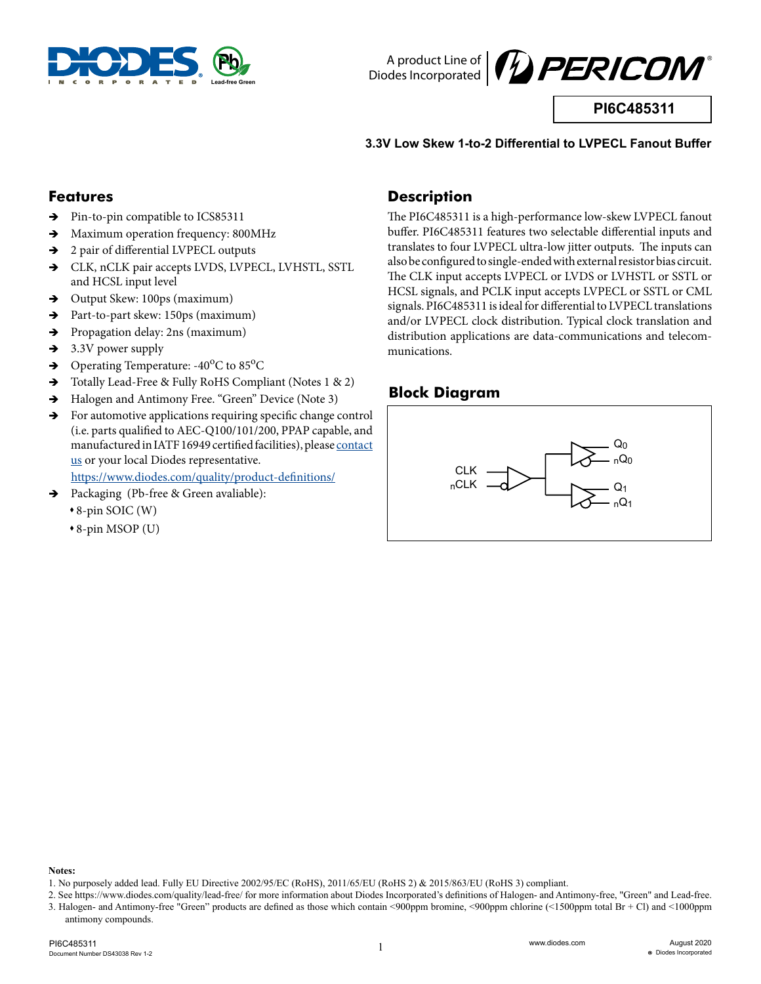



**PI6C485311**

### **3.3V Low Skew 1-to-2 Differential to LVPECL Fanout Buffer**

### **Features**

- $\rightarrow$  Pin-to-pin compatible to ICS85311
- $\rightarrow$  Maximum operation frequency: 800MHz
- $\rightarrow$  2 pair of differential LVPECL outputs
- $\rightarrow$  CLK, nCLK pair accepts LVDS, LVPECL, LVHSTL, SSTL and HCSL input level
- $\rightarrow$  Output Skew: 100ps (maximum)
- $\rightarrow$  Part-to-part skew: 150ps (maximum)
- → Propagation delay: 2ns (maximum)
- $\rightarrow$  3.3V power supply
- $\rightarrow$  Operating Temperature: -40<sup>o</sup>C to 85<sup>o</sup>C
- $\rightarrow$  Totally Lead-Free & Fully RoHS Compliant (Notes 1 & 2)
- $\rightarrow$  Halogen and Antimony Free. "Green" Device (Note 3)
- $\rightarrow$  For automotive applications requiring specific change control (i.e. parts qualified to AEC-Q100/101/200, PPAP capable, and manufactured in IATF 16949 certified facilities), please [contact](https://www.diodes.com/about/contact-us/)  [us](https://www.diodes.com/about/contact-us/) or your local Diodes representative.

https://www.diodes.com/quality/product-definitions/

- $\rightarrow$  Packaging (Pb-free & Green avaliable):
	- 8-pin SOIC (W)
	- 8-pin MSOP (U)

### **Description**

The PI6C485311 is a high-performance low-skew LVPECL fanout buffer. PI6C485311 features two selectable differential inputs and translates to four LVPECL ultra-low jitter outputs. The inputs can also be configured to single-ended with external resistor bias circuit. The CLK input accepts LVPECL or LVDS or LVHSTL or SSTL or HCSL signals, and PCLK input accepts LVPECL or SSTL or CML signals. PI6C485311 is ideal for differential to LVPECL translations and/or LVPECL clock distribution. Typical clock translation and distribution applications are data-communications and telecommunications.

## **Block Diagram**



**Notes:** 

<sup>1.</sup> No purposely added lead. Fully EU Directive 2002/95/EC (RoHS), 2011/65/EU (RoHS 2) & 2015/863/EU (RoHS 3) compliant.

<sup>2.</sup> See https://www.diodes.com/quality/lead-free/ for more information about Diodes Incorporated's definitions of Halogen- and Antimony-free, "Green" and Lead-free. 3. Halogen- and Antimony-free "Green" products are defined as those which contain <900ppm bromine, <900ppm chlorine (<1500ppm total Br + Cl) and <1000ppm antimony compounds.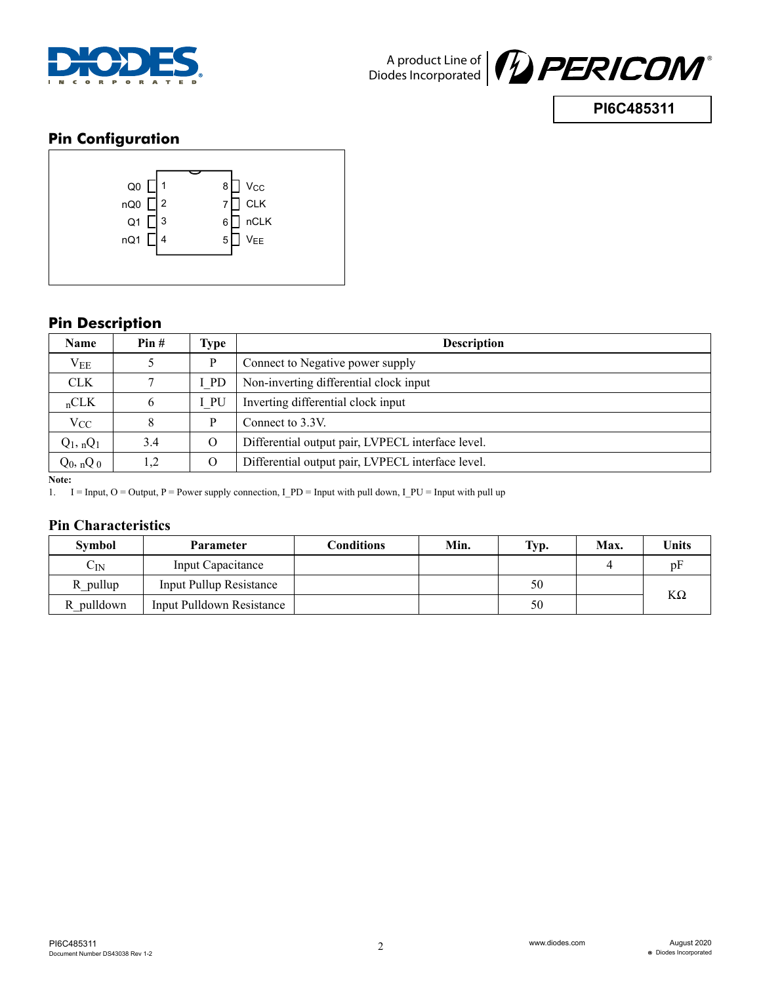

**PI6C485311**

# **Pin Configuration**



# **Pin Description**

| <b>Name</b>     | Pin# | Type     | <b>Description</b>                                |  |
|-----------------|------|----------|---------------------------------------------------|--|
| $V_{EE}$        |      | P        | Connect to Negative power supply                  |  |
| <b>CLK</b>      |      | I PD     | Non-inverting differential clock input            |  |
| nCLK            | 6    | I PU     | Inverting differential clock input                |  |
| $V_{CC}$        | 8    | P        | Connect to 3.3V.                                  |  |
| $Q_1$ , n $Q_1$ | 3.4  | $\Omega$ | Differential output pair, LVPECL interface level. |  |
| $Q_0$ , n $Q_0$ | 1,2  | $\Omega$ | Differential output pair, LVPECL interface level. |  |

**Note:** 

1. I = Input,  $O =$  Output, P = Power supply connection, I\_PD = Input with pull down, I\_PU = Input with pull up

### **Pin Characteristics**

| <b>Symbol</b>     | <b>Parameter</b>                 | Conditions | Min. | Typ. | Max. | Units     |
|-------------------|----------------------------------|------------|------|------|------|-----------|
| $\mathrm{C_{IN}}$ | Input Capacitance                |            |      |      |      | pF        |
| R pullup          | <b>Input Pullup Resistance</b>   |            |      | 50   |      |           |
| R pulldown        | <b>Input Pulldown Resistance</b> |            |      | 50   |      | $K\Omega$ |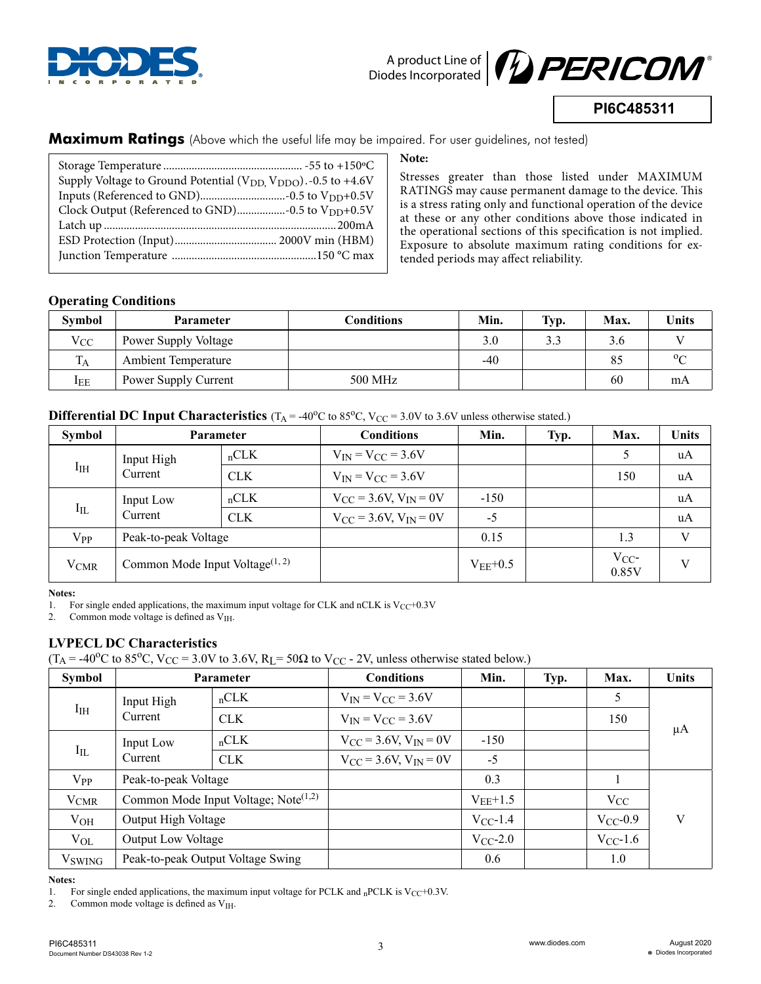



**PI6C485311**

**Maximum Ratings** (Above which the useful life may be impaired. For user guidelines, not tested)

| Supply Voltage to Ground Potential ( $V_{DD}$ , $V_{DDO}$ ). -0.5 to +4.6V |  |
|----------------------------------------------------------------------------|--|
|                                                                            |  |
|                                                                            |  |
| Clock Output (Referenced to GND)-0.5 to V <sub>DD</sub> +0.5V              |  |
|                                                                            |  |
|                                                                            |  |
|                                                                            |  |
|                                                                            |  |
|                                                                            |  |

#### **Note:**

Stresses greater than those listed under MAXIMUM RATINGS may cause permanent damage to the device. This is a stress rating only and functional operation of the device at these or any other conditions above those indicated in the operational sections of this specification is not implied. Exposure to absolute maximum rating conditions for extended periods may affect reliability.

### **Operating Conditions**

| <b>Symbol</b>  | <b>Parameter</b>           | Conditions | Min. | Typ. | Max. | <b>Units</b>   |
|----------------|----------------------------|------------|------|------|------|----------------|
| $V_{CC}$       | Power Supply Voltage       |            | 3.0  |      | 3.6  |                |
| T <sub>A</sub> | <b>Ambient Temperature</b> |            | -40  |      | 85   | 0 <sup>c</sup> |
| $I_{EE}$       | Power Supply Current       | 500 MHz    |      |      | 60   | mA             |

**Differential DC Input Characteristics** ( $T_A = -40^\circ$ C to 85 $^\circ$ C, V<sub>CC</sub> = 3.0V to 3.6V unless otherwise stated.)

| Symbol                 | <b>Parameter</b>                   |            | <b>Conditions</b>              | Min.         | Typ. | Max.              | <b>Units</b> |
|------------------------|------------------------------------|------------|--------------------------------|--------------|------|-------------------|--------------|
|                        | Input High<br>Current              | nCLK       | $V_{IN} = V_{CC} = 3.6V$       |              |      |                   | uA           |
| $I_{IH}$               |                                    | <b>CLK</b> | $V_{IN} = V_{CC} = 3.6V$       |              |      | 150               | uA           |
| $I_{IL}$               | Input Low<br>Current               | nCLK       | $V_{CC}$ = 3.6V, $V_{IN}$ = 0V | $-150$       |      |                   | uA           |
|                        |                                    | <b>CLK</b> | $V_{CC}$ = 3.6V, $V_{IN}$ = 0V | $-5$         |      |                   | uA           |
| $V_{PP}$               | Peak-to-peak Voltage               |            |                                | 0.15         |      | 1.3               | V            |
| <b>V<sub>CMR</sub></b> | Common Mode Input Voltage $(1, 2)$ |            |                                | $V_{EE}+0.5$ |      | $V_{CC}$<br>0.85V | $\mathbf{V}$ |

**Notes:** 

1. For single ended applications, the maximum input voltage for CLK and nCLK is  $V_{CC}+0.3V$ <br>2. Common mode voltage is defined as  $V_{HH}$ .

Common mode voltage is defined as  $V<sub>IH</sub>$ .

### **LVPECL DC Characteristics**

 $(T_A = -40\degree C$  to 85 $\degree C$ , V<sub>CC</sub> = 3.0V to 3.6V, R<sub>L</sub> = 50 $\Omega$  to V<sub>CC</sub> - 2V, unless otherwise stated below.)

| Symbol                           |                                                  | Parameter                         | <b>Conditions</b>                      | Min.          | Typ. | Max.          | <b>Units</b> |
|----------------------------------|--------------------------------------------------|-----------------------------------|----------------------------------------|---------------|------|---------------|--------------|
| $I_{\rm IH}$                     | Input High<br>Current                            | nCLK                              | $V_{IN} = V_{CC} = 3.6V$               |               |      | $\mathcal{D}$ |              |
|                                  |                                                  | <b>CLK</b>                        | $V_{IN} = V_{CC} = 3.6V$               |               |      | 150           | $\mu A$      |
| Input Low<br>$I_{IL}$<br>Current |                                                  | nCLK                              | $V_{\rm CC}$ = 3.6V, $V_{\rm IN}$ = 0V | $-150$        |      |               |              |
|                                  |                                                  | <b>CLK</b>                        | $V_{CC} = 3.6V$ , $V_{IN} = 0V$        | $-5$          |      |               |              |
| $V_{PP}$                         | Peak-to-peak Voltage                             |                                   |                                        | 0.3           |      |               |              |
| <b>V</b> CMR                     | Common Mode Input Voltage; Note <sup>(1,2)</sup> |                                   |                                        | $V_{EE}+1.5$  |      | $V_{CC}$      |              |
| $V_{OH}$                         | Output High Voltage                              |                                   |                                        | $V_{CC}$ -1.4 |      | $V_{CC}$ -0.9 | V            |
| $V_{OL}$                         | <b>Output Low Voltage</b>                        |                                   |                                        | $V_{CC}$ -2.0 |      | $V_{CC}$ -1.6 |              |
| <b>V</b> <sub>SWING</sub>        |                                                  | Peak-to-peak Output Voltage Swing |                                        | 0.6           |      | 1.0           |              |

#### **Notes:**

1. For single ended applications, the maximum input voltage for PCLK and  $n$ PCLK is V<sub>CC</sub>+0.3V.

2. Common mode voltage is defined as  $V_{\text{IH}}$ .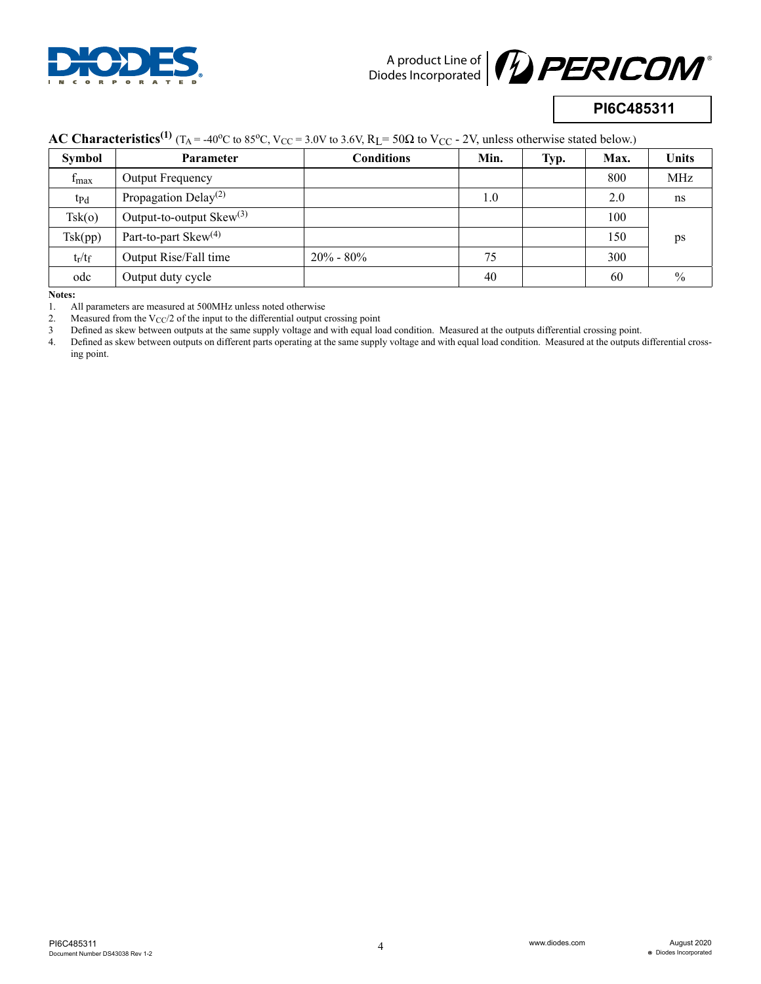



# **PI6C485311**

## **AC Characteristics**<sup>(1)</sup> ( $T_A$  = -40<sup>o</sup>C to 85<sup>o</sup>C, V<sub>CC</sub> = 3.0V to 3.6V, R<sub>L</sub> = 50 $\Omega$  to V<sub>CC</sub> - 2V, unless otherwise stated below.)

| <b>Symbol</b>    | Parameter                        | <b>Conditions</b> | Min. | Typ. | Max. | <b>Units</b> |
|------------------|----------------------------------|-------------------|------|------|------|--------------|
| $f_{\text{max}}$ | Output Frequency                 |                   |      |      | 800  | <b>MHz</b>   |
| $tp_d$           | Propagation Delay <sup>(2)</sup> |                   | 1.0  |      | 2.0  | ns           |
| Tsk(o)           | Output-to-output $Skew^{(3)}$    |                   |      |      | 100  |              |
| Tsk(pp)          | Part-to-part $Skew^{(4)}$        |                   |      |      | 150  | ps           |
| $t_r/t_f$        | Output Rise/Fall time            | $20\%$ - $80\%$   | 75   |      | 300  |              |
| odc              | Output duty cycle                |                   | 40   |      | 60   | $\%$         |

**Notes:** 

2. Measured from the  $V_{\text{CC}}/2$  of the input to the differential output crossing point

3 Defined as skew between outputs at the same supply voltage and with equal load condition. Measured at the outputs differential crossing point.

4. Defined as skew between outputs on different parts operating at the same supply voltage and with equal load condition. Measured at the outputs differential crossing point.

<sup>1.</sup> All parameters are measured at 500MHz unless noted otherwise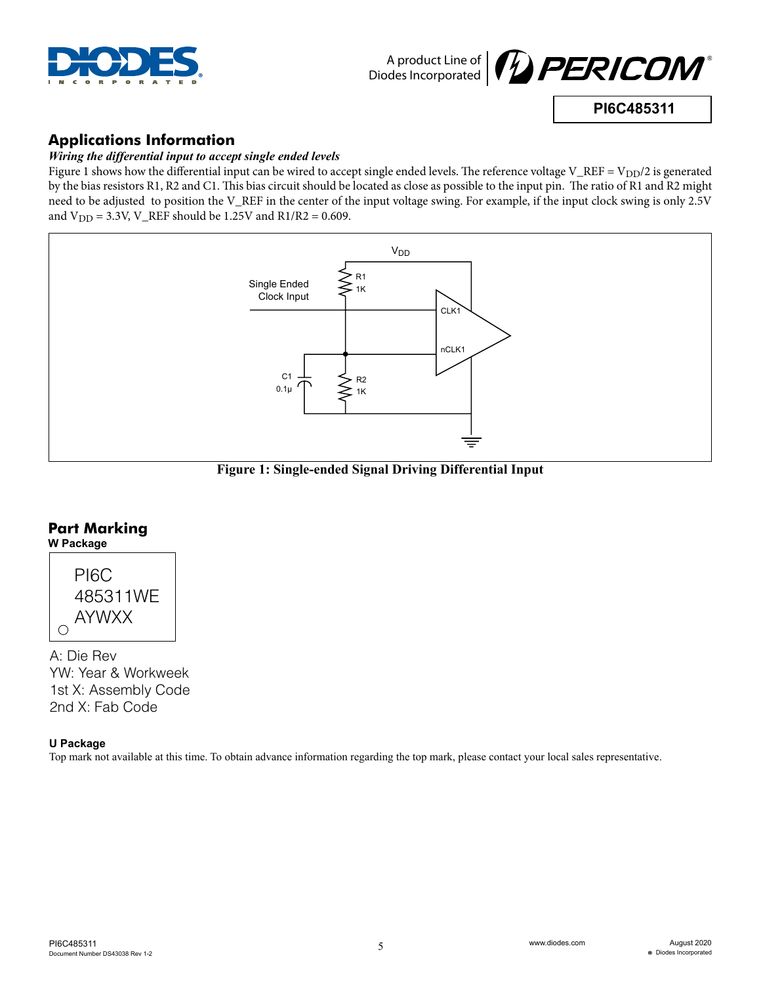



**PI6C485311**

# **Applications Information**

### *Wiring the differential input to accept single ended levels*

Figure 1 shows how the differential input can be wired to accept single ended levels. The reference voltage V\_REF = V<sub>DD</sub>/2 is generated by the bias resistors R1, R2 and C1. This bias circuit should be located as close as possible to the input pin. The ratio of R1 and R2 might need to be adjusted to position the V\_REF in the center of the input voltage swing. For example, if the input clock swing is only 2.5V and  $V_{DD} = 3.3V$ , V\_REF should be 1.25V and R1/R2 = 0.609.



**Figure 1: Single-ended Signal Driving Differential Input**

### **Part Marking W Package**



A: Die Rev YW: Year & Workweek 1st X: Assembly Code 2nd X: Fab Code

### **U Package**

Top mark not available at this time. To obtain advance information regarding the top mark, please contact your local sales representative.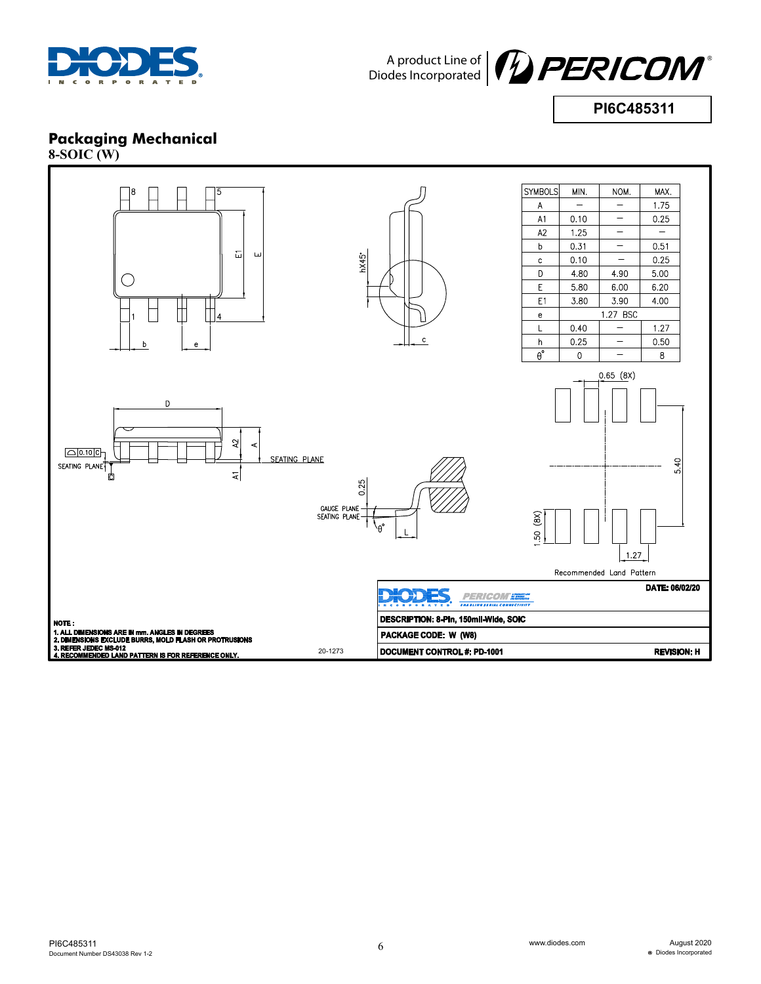



**PI6C485311**

# **Packaging Mechanical**

**8-SOIC (W)**

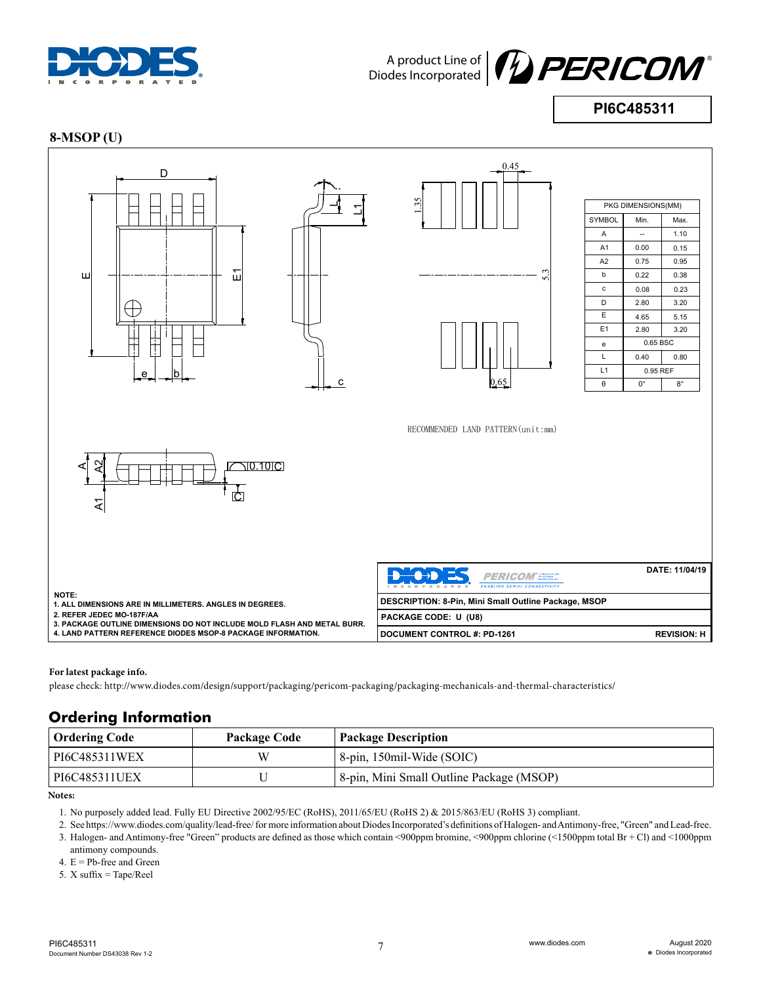



**PI6C485311**

#### **8-MSOP (U)**



**For latest package info.**

19-1147 please check: http://www.diodes.com/design/support/packaging/pericom-packaging/packaging-mechanicals-and-thermal-characteristics/

## **Ordering Information**

| <b>Ordering Code</b> | <b>Package Code</b> | <b>Package Description</b>                            |
|----------------------|---------------------|-------------------------------------------------------|
| PI6C485311WEX        | W                   | 8-pin, 150mil-Wide (SOIC)                             |
| PI6C485311UEX        |                     | <sup>8</sup> 8-pin, Mini Small Outline Package (MSOP) |

**Notes:**

1. No purposely added lead. Fully EU Directive 2002/95/EC (RoHS), 2011/65/EU (RoHS 2) & 2015/863/EU (RoHS 3) compliant.

2. See https://www.diodes.com/quality/lead-free/ for more information about Diodes Incorporated's definitions of Halogen- and Antimony-free, "Green" and Lead-free. 3. Halogen- and Antimony-free "Green" products are defined as those which contain <900ppm bromine, <900ppm chlorine (<1500ppm total Br + Cl) and <1000ppm antimony compounds.

4.  $E = Pb$ -free and Green

5. X suffix = Tape/Reel